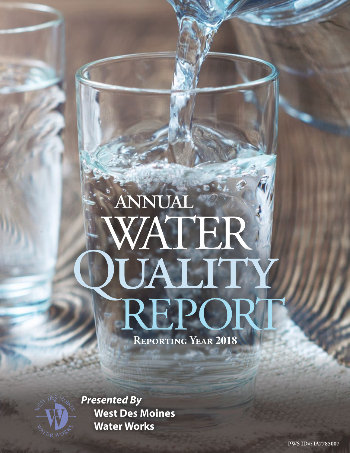# annual WATER **PUALITY**<br>REPOR

**Reporting Year 2018**



*Presented By* **West Des Moines Water Works**

**PWS ID#: IA7785007**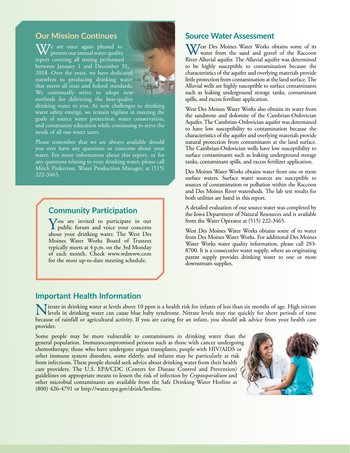### **Our Mission Continues**

 $\sqrt{V}$ e are once again pleased to present our annual water quality report covering all testing performed between January 1 and December 31, 2018. Over the years, we have dedicated ourselves to producing drinking water that meets all state and federal standards. We continually strive to adopt new methods for delivering the best-quality



drinking water to you. As new challenges to drinking water safety emerge, we remain vigilant in meeting the goals of source water protection, water conservation, and community education while continuing to serve the needs of all our water users.

Please remember that we are always available should you ever have any questions or concerns about your water. For more information about this report, or for any questions relating to your drinking water, please call Mitch Pinkerton, Water Production Manager, at (515) 222-3465.

### **Community Participation**

You are invited to participate in our<br>public forum and voice your concerns about your drinking water. The West Des Moines Water Works Board of Trustees typically meets at 4 p.m. on the 3rd Monday of each month. Check [www.wdmww.com](http://www.wdmww.com) for the most up-to-date meeting schedule.

### **Source Water Assessment**

West Des Moines Water Works obtains some of its water from the sand and gravel of the Raccoon River Alluvial aquifer. The Alluvial aquifer was determined to be highly susceptible to contamination because the characteristics of the aquifer and overlying materials provide little protection from contamination at the land surface. The Alluvial wells are highly susceptible to surface contaminants such as leaking underground storage tanks, contaminant spills, and excess fertilizer application.

West Des Moines Water Works also obtains its water from the sandstone and dolomite of the Cambrian-Ordovician Aquifer. The Cambrian-Ordovician aquifer was determined to have low susceptibility to contamination because the characteristics of the aquifer and overlying materials provide natural protection from contaminants at the land surface. The Cambrian-Ordovician wells have low susceptibility to surface contaminants such as leaking underground storage tanks, contaminant spills, and excess fertilizer application.

Des Moines Water Works obtains water from one or more surface waters. Surface water sources are susceptible to sources of contamination or pollution within the Raccoon and Des Moines River watersheds. The lab test results for both utilities are listed in this report.

A detailed evaluation of our source water was completed by the Iowa Department of Natural Resources and is available from the Water Operator at (515) 222-3465.

West Des Moines Water Works obtains some of its water from Des Moines Water Works. For additional Des Moines Water Works water quality information, please call 283- 8700. It is a consecutive water supply, where an originating parent supply provides drinking water to one or more downstream supplies.

### **Important Health Information**

Nitrate in drinking water at levels above 10 ppm is a health risk for infants of less than six months of age. High nitrate<br>levels in drinking water can cause blue baby syndrome. Nitrate levels may rise quickly for short pe because of rainfall or agricultural activity. If you are caring for an infant, you should ask advice from your health care provider.

Some people may be more vulnerable to contaminants in drinking water than the general population. Immunocompromised persons such as those with cancer undergoing chemotherapy, those who have undergone organ transplants, people with HIV/AIDS or other immune system disorders, some elderly, and infants may be particularly at risk from infections. These people should seek advice about drinking water from their health care providers. The U.S. EPA/CDC (Centers for Disease Control and Prevention) guidelines on appropriate means to lessen the risk of infection by *Cryptosporidium* and other microbial contaminants are available from the Safe Drinking Water Hotline at (800) 426-4791 or [http://water.epa.gov/drink/hotline.](http://water.epa.gov/drink/hotline)

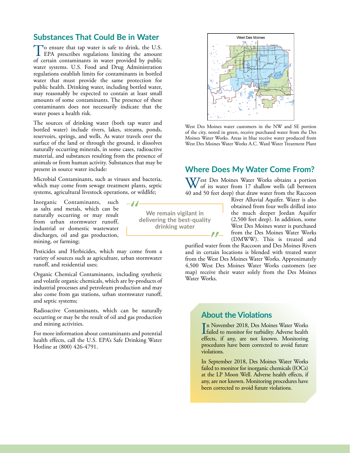### **Substances That Could Be in Water**

To ensure that tap water is safe to drink, the U.S.<br>EPA prescribes regulations limiting the amount of certain contaminants in water provided by public water systems. U.S. Food and Drug Administration regulations establish limits for contaminants in bottled water that must provide the same protection for public health. Drinking water, including bottled water, may reasonably be expected to contain at least small amounts of some contaminants. The presence of these contaminants does not necessarily indicate that the water poses a health risk.

The sources of drinking water (both tap water and bottled water) include rivers, lakes, streams, ponds, reservoirs, springs, and wells. As water travels over the surface of the land or through the ground, it dissolves naturally occurring minerals, in some cases, radioactive material, and substances resulting from the presence of animals or from human activity. Substances that may be present in source water include:

Microbial Contaminants, such as viruses and bacteria, which may come from sewage treatment plants, septic systems, agricultural livestock operations, or wildlife;

 $-J$ 

Inorganic Contaminants, such as salts and metals, which can be naturally occurring or may result from urban stormwater runoff, industrial or domestic wastewater discharges, oil and gas production, mining, or farming;

Pesticides and Herbicides, which may come from a variety of sources such as agriculture, urban stormwater runoff, and residential uses;

Organic Chemical Contaminants, including synthetic and volatile organic chemicals, which are by-products of industrial processes and petroleum production and may also come from gas stations, urban stormwater runoff, and septic systems;

Radioactive Contaminants, which can be naturally occurring or may be the result of oil and gas production and mining activities.

For more information about contaminants and potential health effects, call the U.S. EPA's Safe Drinking Water Hotline at (800) 426-4791.

**We remain vigilant in delivering the best-quality drinking water**



West Des Moines water customers in the NW and SE portion of the city, noted in green, receive purchased water from the Des Moines Water Works. Areas in blue receive water produced from West Des Moines Water Works A.C. Ward Water Treatment Plant

### **Where Does My Water Come From?**

West Des Moines Water Works obtains a portion of its water from 17 shallow wells (all between 40 and 50 feet deep) that draw water from the Raccoon

> River Alluvial Aquifer. Water is also obtained from four wells drilled into the much deeper Jordan Aquifer (2,500 feet deep). In addition, some West Des Moines water is purchased from the Des Moines Water Works (DMWW). This is treated and

purified water from the Raccoon and Des Moines Rivers and in certain locations is blended with treated water from the West Des Moines Water Works. Approximately 4,500 West Des Moines Water Works customers (see map) receive their water solely from the Des Moines Water Works.

### **About the Violations**

 $\mathbf{P}$ 

In November 2018, Des Moines Water Works<br>failed to monitor for turbidity. Adverse health n November 2018, Des Moines Water Works effects, if any, are not known. Monitoring procedures have been corrected to avoid future violations.

In September 2018, Des Moines Water Works failed to monitor for inorganic chemicals (IOCs) at the LP Moon Well. Adverse health effects, if any, are not known. Monitoring procedures have been corrected to avoid future violations.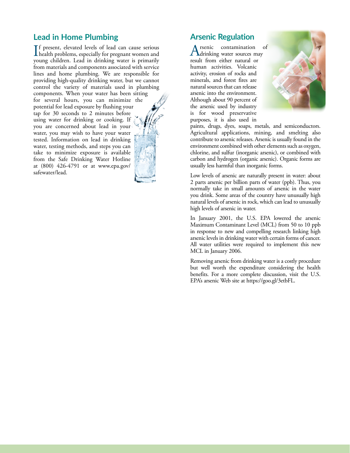### **Lead in Home Plumbing**

If present, elevated levels of lead can cause serious<br>health problems, especially for pregnant women and<br>www.ashidrea. Load in driving women is primarily **T**f present, elevated levels of lead can cause serious young children. Lead in drinking water is primarily from materials and components associated with service lines and home plumbing. We are responsible for providing high-quality drinking water, but we cannot control the variety of materials used in plumbing

components. When your water has been sitting for several hours, you can minimize the potential for lead exposure by flushing your tap for 30 seconds to 2 minutes before using water for drinking or cooking. If you are concerned about lead in your water, you may wish to have your water tested. Information on lead in drinking water, testing methods, and steps you can take to minimize exposure is available from the Safe Drinking Water Hotline at (800) 426-4791 or at [www.epa.gov/](http://www.epa.gov/safewater/lead) [safewater/lead](http://www.epa.gov/safewater/lead).

## **Arsenic Regulation**

Arsenic contamination of<br>drinking water sources may result from either natural or human activities. Volcanic activity, erosion of rocks and minerals, and forest fires are natural sources that can release arsenic into the environment. Although about 90 percent of the arsenic used by industry is for wood preservative purposes, it is also used in



paints, drugs, dyes, soaps, metals, and semiconductors. Agricultural applications, mining, and smelting also contribute to arsenic releases. Arsenic is usually found in the environment combined with other elements such as oxygen, chlorine, and sulfur (inorganic arsenic), or combined with carbon and hydrogen (organic arsenic). Organic forms are usually less harmful than inorganic forms.

Low levels of arsenic are naturally present in water: about 2 parts arsenic per billion parts of water (ppb). Thus, you normally take in small amounts of arsenic in the water you drink. Some areas of the country have unusually high natural levels of arsenic in rock, which can lead to unusually high levels of arsenic in water.

In January 2001, the U.S. EPA lowered the arsenic Maximum Contaminant Level (MCL) from 50 to 10 ppb in response to new and compelling research linking high arsenic levels in drinking water with certain forms of cancer. All water utilities were required to implement this new MCL in January 2006.

Removing arsenic from drinking water is a costly procedure but well worth the expenditure considering the health benefits. For a more complete discussion, visit the U.S. EPA's arsenic Web site at<https://goo.gl/3etbFL>.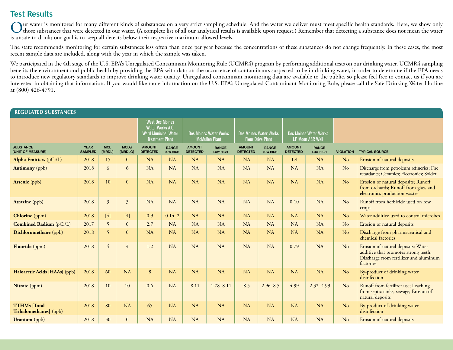# **Test Results**

Our water is monitored for many different kinds of substances on a very strict sampling schedule. And the water we deliver must meet specific health standards. Here, we show only<br>those substances that were detected in our is unsafe to drink; our goal is to keep all detects below their respective maximum allowed levels.

The state recommends monitoring for certain substances less often than once per year because the concentrations of these substances do not change frequently. In these cases, the most recent sample data are included, along with the year in which the sample was taken.

We participated in the 4th stage of the U.S. EPA's Unregulated Contaminant Monitoring Rule (UCMR4) program by performing additional tests on our drinking water. UCMR4 sampling benefits the environment and public health by providing the EPA with data on the occurrence of contaminants suspected to be in drinking water, in order to determine if the EPA needs to introduce new regulatory standards to improve drinking water quality. Unregulated contaminant monitoring data are available to the public, so please feel free to contact us if you are interested in obtaining that information. If you would like more information on the U.S. EPA's Unregulated Contaminant Monitoring Rule, please call the Safe Drinking Water Hotline at (800) 426-4791.

| <b>REGULATED SUBSTANCES</b>                   |                               |                                                                                                     |                        |                                                        |                          |                                                              |               |                                                          |                          |                                                              |               |                  |                                                                                                                                   |  |
|-----------------------------------------------|-------------------------------|-----------------------------------------------------------------------------------------------------|------------------------|--------------------------------------------------------|--------------------------|--------------------------------------------------------------|---------------|----------------------------------------------------------|--------------------------|--------------------------------------------------------------|---------------|------------------|-----------------------------------------------------------------------------------------------------------------------------------|--|
|                                               |                               | <b>West Des Moines</b><br>Water Works A.C.<br><b>Ward Municipal Water</b><br><b>Treatment Plant</b> |                        | <b>Des Moines Water Works</b><br><b>McMullen Plant</b> |                          | <b>Des Moines Water Works</b><br><b>Fleur Drive Plant</b>    |               | <b>Des Moines Water Works</b><br><b>LP Moon ASR Well</b> |                          |                                                              |               |                  |                                                                                                                                   |  |
| <b>SUBSTANCE</b><br>(UNIT OF MEASURE)         | <b>YEAR</b><br><b>SAMPLED</b> | <b>MCL</b><br><b>IMRDL1</b>                                                                         | <b>MCLG</b><br>[MRDLG] | <b>AMOUNT</b><br><b>DETECTED</b>                       | <b>RANGE</b><br>LOW-HIGH | <b>AMOUNT</b><br><b>RANGE</b><br><b>DETECTED</b><br>LOW-HIGH |               | <b>AMOUNT</b><br><b>DETECTED</b>                         | <b>RANGE</b><br>LOW-HIGH | <b>AMOUNT</b><br><b>RANGE</b><br><b>DETECTED</b><br>LOW-HIGH |               | <b>VIOLATION</b> | <b>TYPICAL SOURCE</b>                                                                                                             |  |
| <b>Alpha Emitters</b> (pCi/L)                 | 2018                          | 15                                                                                                  | $\overline{0}$         | <b>NA</b>                                              | <b>NA</b>                | <b>NA</b>                                                    | <b>NA</b>     | <b>NA</b>                                                | NA                       | 1.4                                                          | <b>NA</b>     | N <sub>o</sub>   | Erosion of natural deposits                                                                                                       |  |
| <b>Antimony</b> (ppb)                         | 2018                          | 6                                                                                                   | 6                      | <b>NA</b>                                              | NA                       | NA                                                           | NA            | <b>NA</b>                                                | NA                       | <b>NA</b>                                                    | <b>NA</b>     | N <sub>o</sub>   | Discharge from petroleum refineries; Fire<br>retardants; Ceramics; Electronics; Solder                                            |  |
| <b>Arsenic</b> (ppb)                          | 2018                          | 10                                                                                                  | $\overline{0}$         | <b>NA</b>                                              | NA                       | NA                                                           | NA            | <b>NA</b>                                                | NA                       | <b>NA</b>                                                    | NA            | N <sub>o</sub>   | Erosion of natural deposits; Runoff<br>from orchards; Runoff from glass and<br>electronics production wastes                      |  |
| <b>Atrazine</b> (ppb)                         | 2018                          | 3                                                                                                   | 3                      | <b>NA</b>                                              | <b>NA</b>                | <b>NA</b>                                                    | NA            | <b>NA</b>                                                | <b>NA</b>                | 0.10                                                         | <b>NA</b>     | No               | Runoff from herbicide used on row<br>crops                                                                                        |  |
| <b>Chlorine</b> (ppm)                         | 2018                          | $[4]$                                                                                               | $[4]$                  | 0.9                                                    | $0.14 - 2$               | <b>NA</b>                                                    | NA            | <b>NA</b>                                                | <b>NA</b>                | <b>NA</b>                                                    | <b>NA</b>     | N <sub>o</sub>   | Water additive used to control microbes                                                                                           |  |
| <b>Combined Radium</b> (pCi/L)                | 2017                          | 5                                                                                                   | $\overline{0}$         | 2.7                                                    | <b>NA</b>                | NA                                                           | NA            | <b>NA</b>                                                | NA                       | NA                                                           | <b>NA</b>     | No               | Erosion of natural deposits                                                                                                       |  |
| Dichloromethane (ppb)                         | 2018                          | 5                                                                                                   | $\mathbf{0}$           | <b>NA</b>                                              | NA                       | NA                                                           | NA            | NA                                                       | NA                       | <b>NA</b>                                                    | <b>NA</b>     | N <sub>o</sub>   | Discharge from pharmaceutical and<br>chemical factories                                                                           |  |
| Fluoride (ppm)                                | 2018                          | 4                                                                                                   | $\overline{4}$         | 1.2                                                    | <b>NA</b>                | NA                                                           | NA            | NA                                                       | NA                       | 0.79                                                         | <b>NA</b>     | No               | Erosion of natural deposits; Water<br>additive that promotes strong teeth;<br>Discharge from fertilizer and aluminum<br>factories |  |
| Haloacetic Acids [HAAs] (ppb)                 | 2018                          | 60                                                                                                  | NA                     | 8                                                      | <b>NA</b>                | NA                                                           | NA            | <b>NA</b>                                                | <b>NA</b>                | <b>NA</b>                                                    | <b>NA</b>     | N <sub>o</sub>   | By-product of drinking water<br>disinfection                                                                                      |  |
| Nitrate (ppm)                                 | 2018                          | 10                                                                                                  | 10                     | 0.6                                                    | NA                       | 8.11                                                         | $1.78 - 8.11$ | 8.5                                                      | $2.96 - 8.5$             | 4.99                                                         | $2.32 - 4.99$ | No               | Runoff from fertilizer use; Leaching<br>from septic tanks, sewage; Erosion of<br>natural deposits                                 |  |
| <b>TTHMs</b> [Total<br>Trihalomethanes] (ppb) | 2018                          | 80                                                                                                  | NA                     | 65                                                     | <b>NA</b>                | NA                                                           | <b>NA</b>     | <b>NA</b>                                                | <b>NA</b>                | <b>NA</b>                                                    | <b>NA</b>     | N <sub>o</sub>   | By-product of drinking water<br>disinfection                                                                                      |  |
| <b>Uranium</b> (ppb)                          | 2018                          | 30                                                                                                  | $\mathbf{0}$           | <b>NA</b>                                              | <b>NA</b>                | NA                                                           | NA            | <b>NA</b>                                                | NA                       | <b>NA</b>                                                    | NA            | N <sub>o</sub>   | Erosion of natural deposits                                                                                                       |  |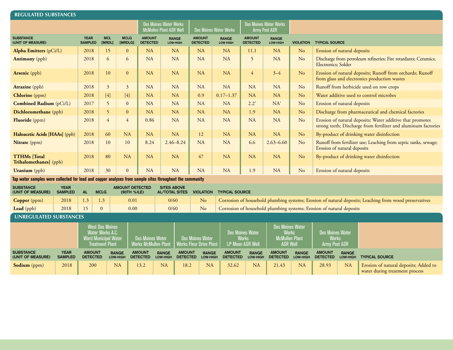| <b>REGULATED SUBSTANCES</b>                                                                                                                 |                               |                                  |                                                                                       |                                 |                                                        |                                             |                                           |                                                           |                          |                                                                      |                                  |                                                                                     |                                                                                                        |                                                                                        |                                                                                                                             |                                                                         |  |
|---------------------------------------------------------------------------------------------------------------------------------------------|-------------------------------|----------------------------------|---------------------------------------------------------------------------------------|---------------------------------|--------------------------------------------------------|---------------------------------------------|-------------------------------------------|-----------------------------------------------------------|--------------------------|----------------------------------------------------------------------|----------------------------------|-------------------------------------------------------------------------------------|--------------------------------------------------------------------------------------------------------|----------------------------------------------------------------------------------------|-----------------------------------------------------------------------------------------------------------------------------|-------------------------------------------------------------------------|--|
|                                                                                                                                             |                               |                                  |                                                                                       |                                 | Des Moines Water Works<br>McMullen Plant ASR Well      |                                             |                                           | <b>Des Moines Water Works</b>                             |                          | <b>Des Moines Water Works</b><br><b>Army Post ASR</b>                |                                  |                                                                                     |                                                                                                        |                                                                                        |                                                                                                                             |                                                                         |  |
| <b>SUBSTANCE</b><br>(UNIT OF MEASURE)                                                                                                       |                               | <b>YEAR</b><br><b>SAMPLED</b>    | <b>MCL</b><br>[MRDL]                                                                  | <b>MCLG</b><br>[MRDLG]          |                                                        | <b>AMOUNT</b><br><b>DETECTED</b>            | <b>RANGE</b><br>LOW-HIGH                  | <b>AMOUNT</b><br><b>DETECTED</b>                          |                          | <b>RANGE</b><br>LOW-HIGH                                             | <b>AMOUNT</b><br><b>DETECTED</b> | <b>RANGE</b><br>LOW-HIGH                                                            | <b>VIOLATION</b>                                                                                       | <b>TYPICAL SOURCE</b>                                                                  |                                                                                                                             |                                                                         |  |
| Alpha Emitters (pCi/L)                                                                                                                      |                               | 2018                             | 15                                                                                    | $\mathbf{0}$                    |                                                        | NA                                          | <b>NA</b>                                 | <b>NA</b>                                                 |                          | <b>NA</b>                                                            | 11.1                             | <b>NA</b>                                                                           | No                                                                                                     |                                                                                        | Erosion of natural deposits                                                                                                 |                                                                         |  |
| <b>Antimony</b> (ppb)                                                                                                                       |                               | 2018                             | 6                                                                                     | 6                               |                                                        | NA                                          | NA                                        | <b>NA</b>                                                 |                          | <b>NA</b>                                                            | 5                                | NA                                                                                  | N <sub>o</sub>                                                                                         | Discharge from petroleum refineries; Fire retardants; Ceramics;<br>Electronics; Solder |                                                                                                                             |                                                                         |  |
| <b>Arsenic</b> (ppb)                                                                                                                        |                               | 2018                             | 10                                                                                    | $\mathbf{0}$                    |                                                        | NA                                          | <b>NA</b>                                 | NA                                                        |                          | <b>NA</b>                                                            | $\overline{4}$                   | $3 - 4$                                                                             | No                                                                                                     |                                                                                        | Erosion of natural deposits; Runoff from orchards; Runoff<br>from glass and electronics production wastes                   |                                                                         |  |
| <b>Atrazine</b> (ppb)                                                                                                                       |                               | 2018                             | $\mathfrak{Z}$                                                                        | $\mathfrak{Z}$                  |                                                        | <b>NA</b>                                   | <b>NA</b>                                 | <b>NA</b>                                                 |                          | <b>NA</b>                                                            | <b>NA</b>                        | <b>NA</b>                                                                           | N <sub>o</sub>                                                                                         |                                                                                        | Runoff from herbicide used on row crops                                                                                     |                                                                         |  |
| Chlorine (ppm)                                                                                                                              |                               | 2018                             | $[4]$                                                                                 | $[4]$                           |                                                        | <b>NA</b>                                   | <b>NA</b>                                 | 0.9                                                       |                          | $0.17 - 1.37$                                                        | <b>NA</b>                        | <b>NA</b>                                                                           | No                                                                                                     |                                                                                        | Water additive used to control microbes                                                                                     |                                                                         |  |
| Combined Radium (pCi/L)                                                                                                                     |                               | 2017                             | 5                                                                                     | $\mathbf{0}$                    |                                                        | <b>NA</b>                                   | <b>NA</b>                                 | <b>NA</b>                                                 |                          | <b>NA</b>                                                            | $2.2^{1}$                        | NA <sup>1</sup>                                                                     | No                                                                                                     |                                                                                        | Erosion of natural deposits                                                                                                 |                                                                         |  |
| Dichloromethane (ppb)                                                                                                                       |                               | 2018                             | 5                                                                                     | $\mathbf{0}$                    |                                                        | NA                                          | <b>NA</b>                                 | NA                                                        |                          | <b>NA</b>                                                            | 1.9                              | <b>NA</b>                                                                           | No                                                                                                     |                                                                                        | Discharge from pharmaceutical and chemical factories                                                                        |                                                                         |  |
| Fluoride (ppm)                                                                                                                              |                               | 2018                             | $\overline{4}$                                                                        | 4                               |                                                        | 0.86                                        | <b>NA</b>                                 | <b>NA</b>                                                 |                          | <b>NA</b>                                                            | <b>NA</b>                        | <b>NA</b>                                                                           | No                                                                                                     |                                                                                        | Erosion of natural deposits; Water additive that promotes<br>strong teeth; Discharge from fertilizer and aluminum factories |                                                                         |  |
| Haloacetic Acids [HAAs] (ppb)<br>2018<br>60                                                                                                 |                               | <b>NA</b>                        |                                                                                       | <b>NA</b>                       | <b>NA</b>                                              | 12                                          |                                           | <b>NA</b>                                                 | <b>NA</b>                | <b>NA</b>                                                            | $\rm No$                         |                                                                                     | By-product of drinking water disinfection                                                              |                                                                                        |                                                                                                                             |                                                                         |  |
| Nitrate (ppm)                                                                                                                               |                               | 2018                             | 10                                                                                    | 10                              |                                                        | 8.24                                        | $2.46 - 8.24$                             | <b>NA</b>                                                 |                          | <b>NA</b>                                                            | 6.6                              | $2.63 - 6.60$                                                                       | N <sub>o</sub>                                                                                         |                                                                                        | Runoff from fertilizer use; Leaching from septic tanks, sewage;<br>Erosion of natural deposits                              |                                                                         |  |
| <b>TTHMs</b> [Total<br>Trihalomethanes] (ppb)                                                                                               |                               | 2018                             | 80                                                                                    | <b>NA</b>                       |                                                        | NA                                          | <b>NA</b>                                 | 47                                                        |                          | <b>NA</b>                                                            | <b>NA</b>                        | NA                                                                                  | N <sub>o</sub>                                                                                         | By-product of drinking water disinfection                                              |                                                                                                                             |                                                                         |  |
| <b>Uranium</b> (ppb)                                                                                                                        |                               | 2018                             | 30                                                                                    | $\mathbf{0}$                    |                                                        | <b>NA</b>                                   | <b>NA</b>                                 | <b>NA</b>                                                 |                          | NA                                                                   | 1.9                              | NA                                                                                  | No                                                                                                     | Erosion of natural deposits                                                            |                                                                                                                             |                                                                         |  |
| Tap water samples were collected for lead and copper analyses from sample sites throughout the community                                    |                               |                                  |                                                                                       |                                 |                                                        |                                             |                                           |                                                           |                          |                                                                      |                                  |                                                                                     |                                                                                                        |                                                                                        |                                                                                                                             |                                                                         |  |
| <b>SUBSTANCE</b><br><b>YEAR</b><br><b>AMOUNT DETECTED</b><br><b>AL</b><br><b>MCLG</b><br>(UNIT OF MEASURE)<br><b>SAMPLED</b><br>(90TH %ILE) |                               |                                  |                                                                                       |                                 |                                                        | <b>SITES ABOVE</b><br><b>AL/TOTAL SITES</b> | <b>VIOLATION</b>                          |                                                           | <b>TYPICAL SOURCE</b>    |                                                                      |                                  |                                                                                     |                                                                                                        |                                                                                        |                                                                                                                             |                                                                         |  |
| Copper (ppm)                                                                                                                                | 2018                          | 1.3                              | 1.3                                                                                   |                                 | 0.01                                                   |                                             | 0/60                                      | No                                                        |                          |                                                                      |                                  |                                                                                     | Corrosion of household plumbing systems; Erosion of natural deposits; Leaching from wood preservatives |                                                                                        |                                                                                                                             |                                                                         |  |
| Lead (ppb)                                                                                                                                  | 2018                          | 15                               | $\mathbf{0}$                                                                          |                                 | 0.00                                                   |                                             | 0/60                                      | No                                                        |                          | Corrosion of household plumbing systems; Erosion of natural deposits |                                  |                                                                                     |                                                                                                        |                                                                                        |                                                                                                                             |                                                                         |  |
| <b>UNREGULATED SUBSTANCES</b>                                                                                                               |                               |                                  |                                                                                       |                                 |                                                        |                                             |                                           |                                                           |                          |                                                                      |                                  |                                                                                     |                                                                                                        |                                                                                        |                                                                                                                             |                                                                         |  |
|                                                                                                                                             |                               |                                  | <b>West Des Moines</b><br>Water Works A.C.<br>Ward Municipal Water<br>Treatment Plant |                                 | <b>Des Moines Water</b><br><b>Works McMullen Plant</b> |                                             |                                           | <b>Des Moines Water</b><br><b>Works Fleur Drive Plant</b> |                          | <b>Des Moines Water</b><br><b>Works</b><br><b>LP Moon ASR Well</b>   |                                  | <b>Des Moines Water</b><br><b>Works</b><br><b>McMullen Plant</b><br><b>ASR Well</b> | <b>Des Moines Water</b><br><b>Works</b><br><b>Army Post ASR</b>                                        |                                                                                        |                                                                                                                             |                                                                         |  |
| <b>SUBSTANCE</b><br>(UNIT OF MEASURE)                                                                                                       | <b>YEAR</b><br><b>SAMPLED</b> | <b>AMOUNT</b><br><b>DETECTED</b> |                                                                                       | <b>RANGE</b><br><b>LOW-HIGH</b> | <b>AMOUNT</b><br><b>DETECTED</b>                       |                                             | <b>AMOUNT</b><br><b>RANGE</b><br>LOW-HIGH | <b>DETECTED</b>                                           | <b>RANGE</b><br>LOW-HIGH | <b>AMOUNT</b><br><b>DETECTED</b>                                     | <b>RANGE</b><br>LOW-HIGH         | <b>AMOUNT</b><br><b>DETECTED</b>                                                    | <b>RANGE</b><br><b>LOW-HIGH</b>                                                                        | <b>AMOUNT</b><br><b>DETECTED</b>                                                       | <b>RANGE</b><br>LOW-HIGH                                                                                                    | <b>TYPICAL SOURCE</b>                                                   |  |
| <b>Sodium</b> (ppm)                                                                                                                         | 2018                          | 200                              |                                                                                       | <b>NA</b>                       | 13.2                                                   |                                             | <b>NA</b>                                 | 18.2                                                      | <b>NA</b>                | 32.62                                                                | <b>NA</b>                        | 21.43                                                                               | <b>NA</b>                                                                                              | 28.93                                                                                  | <b>NA</b>                                                                                                                   | Erosion of natural deposits; Added to<br>water during treatment process |  |